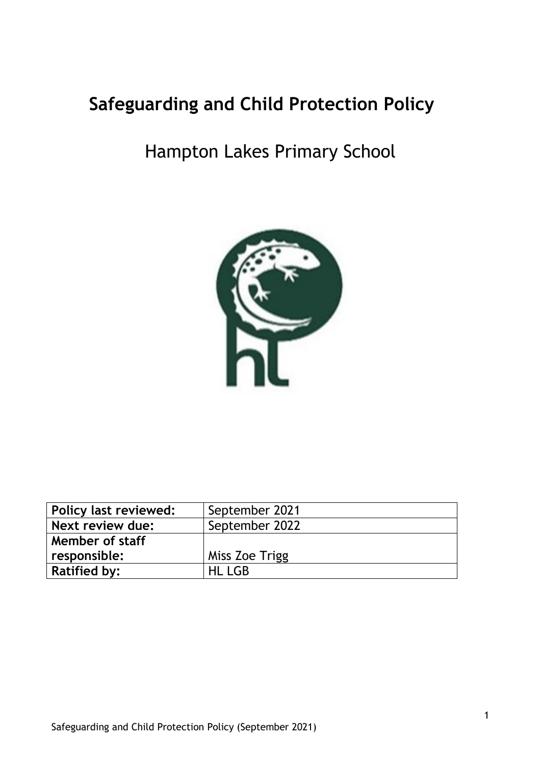# **Safeguarding and Child Protection Policy**

# Hampton Lakes Primary School



| <b>Policy last reviewed:</b> | September 2021 |
|------------------------------|----------------|
| Next review due:             | September 2022 |
| Member of staff              |                |
| responsible:                 | Miss Zoe Trigg |
| <b>Ratified by:</b>          | HL LGB         |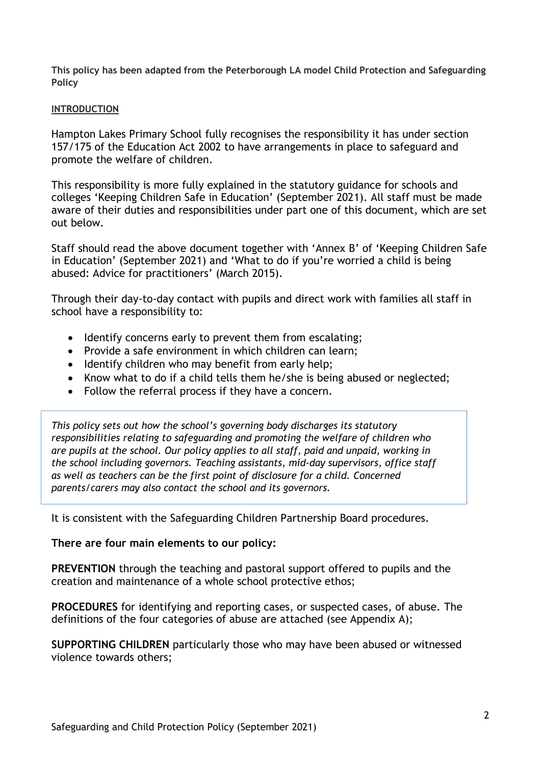**This policy has been adapted from the Peterborough LA model Child Protection and Safeguarding Policy**

#### **INTRODUCTION**

Hampton Lakes Primary School fully recognises the responsibility it has under section 157/175 of the Education Act 2002 to have arrangements in place to safeguard and promote the welfare of children.

This responsibility is more fully explained in the statutory guidance for schools and colleges 'Keeping Children Safe in Education' (September 2021). All staff must be made aware of their duties and responsibilities under part one of this document, which are set out below.

Staff should read the above document together with 'Annex B' of 'Keeping Children Safe in Education' (September 2021) and 'What to do if you're worried a child is being abused: Advice for practitioners' (March 2015).

Through their day-to-day contact with pupils and direct work with families all staff in school have a responsibility to:

- Identify concerns early to prevent them from escalating;
- Provide a safe environment in which children can learn;
- Identify children who may benefit from early help;
- Know what to do if a child tells them he/she is being abused or neglected;
- Follow the referral process if they have a concern.

*This policy sets out how the school's governing body discharges its statutory responsibilities relating to safeguarding and promoting the welfare of children who are pupils at the school. Our policy applies to all staff, paid and unpaid, working in the school including governors. Teaching assistants, mid-day supervisors, office staff as well as teachers can be the first point of disclosure for a child. Concerned parents/carers may also contact the school and its governors.*

It is consistent with the Safeguarding Children Partnership Board procedures.

#### **There are four main elements to our policy:**

**PREVENTION** through the teaching and pastoral support offered to pupils and the creation and maintenance of a whole school protective ethos;

**PROCEDURES** for identifying and reporting cases, or suspected cases, of abuse. The definitions of the four categories of abuse are attached (see Appendix A);

**SUPPORTING CHILDREN** particularly those who may have been abused or witnessed violence towards others;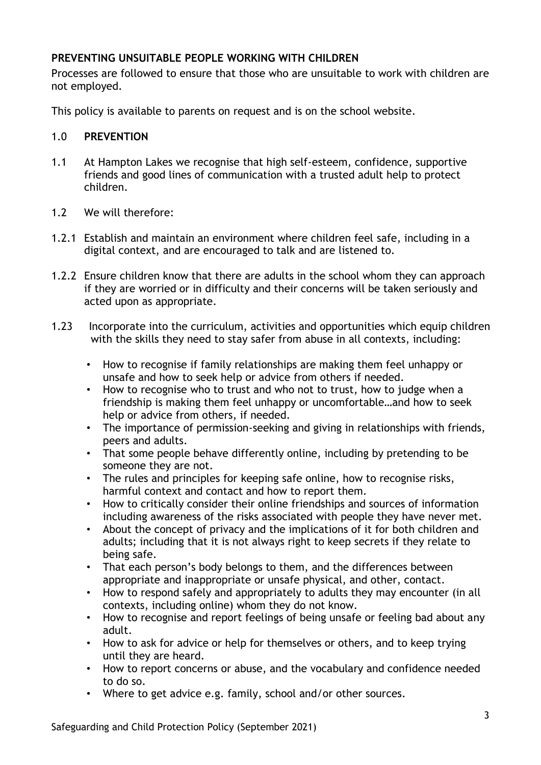#### **PREVENTING UNSUITABLE PEOPLE WORKING WITH CHILDREN**

Processes are followed to ensure that those who are unsuitable to work with children are not employed.

This policy is available to parents on request and is on the school website.

#### 1.0 **PREVENTION**

- 1.1 At Hampton Lakes we recognise that high self-esteem, confidence, supportive friends and good lines of communication with a trusted adult help to protect children.
- 1.2 We will therefore:
- 1.2.1 Establish and maintain an environment where children feel safe, including in a digital context, and are encouraged to talk and are listened to.
- 1.2.2 Ensure children know that there are adults in the school whom they can approach if they are worried or in difficulty and their concerns will be taken seriously and acted upon as appropriate.
- 1.23 Incorporate into the curriculum, activities and opportunities which equip children with the skills they need to stay safer from abuse in all contexts, including:
	- How to recognise if family relationships are making them feel unhappy or unsafe and how to seek help or advice from others if needed.
	- How to recognise who to trust and who not to trust, how to judge when a friendship is making them feel unhappy or uncomfortable…and how to seek help or advice from others, if needed.
	- The importance of permission-seeking and giving in relationships with friends, peers and adults.
	- That some people behave differently online, including by pretending to be someone they are not.
	- The rules and principles for keeping safe online, how to recognise risks, harmful context and contact and how to report them.
	- How to critically consider their online friendships and sources of information including awareness of the risks associated with people they have never met.
	- About the concept of privacy and the implications of it for both children and adults; including that it is not always right to keep secrets if they relate to being safe.
	- That each person's body belongs to them, and the differences between appropriate and inappropriate or unsafe physical, and other, contact.
	- How to respond safely and appropriately to adults they may encounter (in all contexts, including online) whom they do not know.
	- How to recognise and report feelings of being unsafe or feeling bad about any adult.
	- How to ask for advice or help for themselves or others, and to keep trying until they are heard.
	- How to report concerns or abuse, and the vocabulary and confidence needed to do so.
	- Where to get advice e.g. family, school and/or other sources.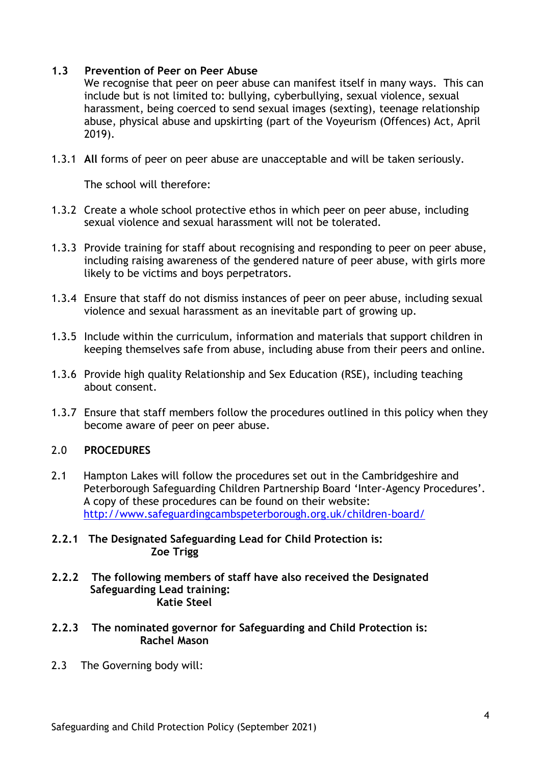#### **1.3 Prevention of Peer on Peer Abuse**

We recognise that peer on peer abuse can manifest itself in many ways. This can include but is not limited to: bullying, cyberbullying, sexual violence, sexual harassment, being coerced to send sexual images (sexting), teenage relationship abuse, physical abuse and upskirting (part of the Voyeurism (Offences) Act, April 2019).

1.3.1 **All** forms of peer on peer abuse are unacceptable and will be taken seriously.

The school will therefore:

- 1.3.2 Create a whole school protective ethos in which peer on peer abuse, including sexual violence and sexual harassment will not be tolerated.
- 1.3.3 Provide training for staff about recognising and responding to peer on peer abuse, including raising awareness of the gendered nature of peer abuse, with girls more likely to be victims and boys perpetrators.
- 1.3.4 Ensure that staff do not dismiss instances of peer on peer abuse, including sexual violence and sexual harassment as an inevitable part of growing up.
- 1.3.5 Include within the curriculum, information and materials that support children in keeping themselves safe from abuse, including abuse from their peers and online.
- 1.3.6 Provide high quality Relationship and Sex Education (RSE), including teaching about consent.
- 1.3.7 Ensure that staff members follow the procedures outlined in this policy when they become aware of peer on peer abuse.

#### 2.0 **PROCEDURES**

2.1 Hampton Lakes will follow the procedures set out in the Cambridgeshire and Peterborough Safeguarding Children Partnership Board 'Inter-Agency Procedures'. A copy of these procedures can be found on their website: <http://www.safeguardingcambspeterborough.org.uk/children-board/>

#### **2.2.1 The Designated Safeguarding Lead for Child Protection is: Zoe Trigg**

- **2.2.2 The following members of staff have also received the Designated Safeguarding Lead training: Katie Steel**
- **2.2.3 The nominated governor for Safeguarding and Child Protection is: Rachel Mason**
- 2.3 The Governing body will: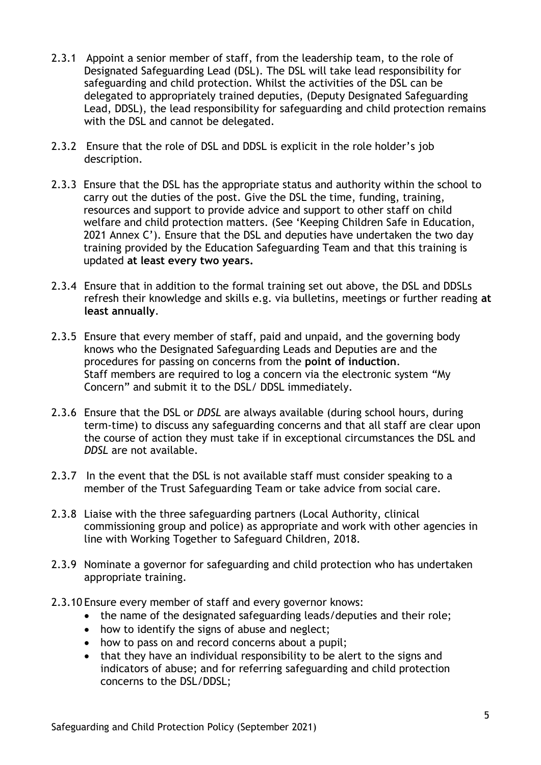- 2.3.1 Appoint a senior member of staff, from the leadership team, to the role of Designated Safeguarding Lead (DSL). The DSL will take lead responsibility for safeguarding and child protection. Whilst the activities of the DSL can be delegated to appropriately trained deputies, (Deputy Designated Safeguarding Lead, DDSL), the lead responsibility for safeguarding and child protection remains with the DSL and cannot be delegated.
- 2.3.2 Ensure that the role of DSL and DDSL is explicit in the role holder's job description.
- 2.3.3 Ensure that the DSL has the appropriate status and authority within the school to carry out the duties of the post. Give the DSL the time, funding, training, resources and support to provide advice and support to other staff on child welfare and child protection matters. (See 'Keeping Children Safe in Education, 2021 Annex C'). Ensure that the DSL and deputies have undertaken the two day training provided by the Education Safeguarding Team and that this training is updated **at least every two years.**
- 2.3.4 Ensure that in addition to the formal training set out above, the DSL and DDSLs refresh their knowledge and skills e.g. via bulletins, meetings or further reading **at least annually**.
- 2.3.5 Ensure that every member of staff, paid and unpaid, and the governing body knows who the Designated Safeguarding Leads and Deputies are and the procedures for passing on concerns from the **point of induction**. Staff members are required to log a concern via the electronic system "My Concern" and submit it to the DSL/ DDSL immediately.
- 2.3.6 Ensure that the DSL or *DDSL* are always available (during school hours, during term-time) to discuss any safeguarding concerns and that all staff are clear upon the course of action they must take if in exceptional circumstances the DSL and *DDSL* are not available.
- 2.3.7 In the event that the DSL is not available staff must consider speaking to a member of the Trust Safeguarding Team or take advice from social care.
- 2.3.8 Liaise with the three safeguarding partners (Local Authority, clinical commissioning group and police) as appropriate and work with other agencies in line with Working Together to Safeguard Children, 2018.
- 2.3.9 Nominate a governor for safeguarding and child protection who has undertaken appropriate training.
- 2.3.10 Ensure every member of staff and every governor knows:
	- the name of the designated safeguarding leads/deputies and their role;
	- how to identify the signs of abuse and neglect;
	- how to pass on and record concerns about a pupil;
	- that they have an individual responsibility to be alert to the signs and indicators of abuse; and for referring safeguarding and child protection concerns to the DSL/DDSL;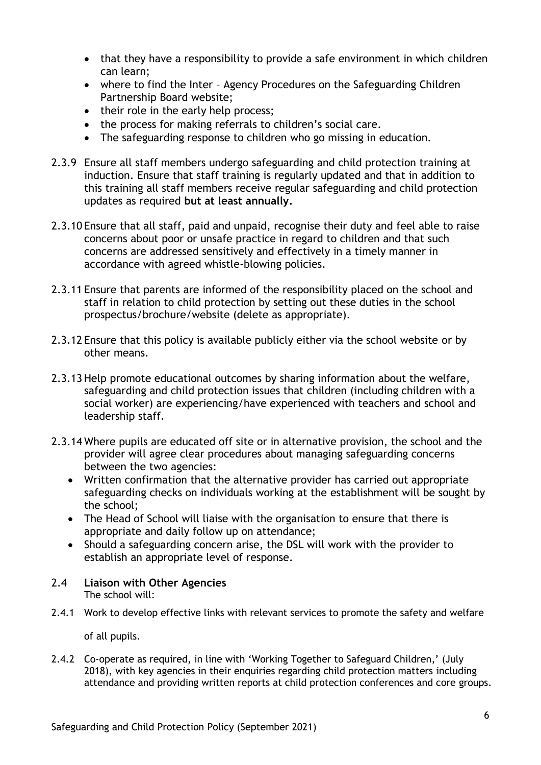- that they have a responsibility to provide a safe environment in which children can learn;
- where to find the Inter Agency Procedures on the Safeguarding Children Partnership Board website;
- their role in the early help process:
- the process for making referrals to children's social care.
- The safeguarding response to children who go missing in education.
- 2.3.9 Ensure all staff members undergo safeguarding and child protection training at induction. Ensure that staff training is regularly updated and that in addition to this training all staff members receive regular safeguarding and child protection updates as required **but at least annually.**
- 2.3.10 Ensure that all staff, paid and unpaid, recognise their duty and feel able to raise concerns about poor or unsafe practice in regard to children and that such concerns are addressed sensitively and effectively in a timely manner in accordance with agreed whistle-blowing policies.
- 2.3.11 Ensure that parents are informed of the responsibility placed on the school and staff in relation to child protection by setting out these duties in the school prospectus/brochure/website (delete as appropriate).
- 2.3.12 Ensure that this policy is available publicly either via the school website or by other means.
- 2.3.13 Help promote educational outcomes by sharing information about the welfare, safeguarding and child protection issues that children (including children with a social worker) are experiencing/have experienced with teachers and school and leadership staff.
- 2.3.14 Where pupils are educated off site or in alternative provision, the school and the provider will agree clear procedures about managing safeguarding concerns between the two agencies:
	- Written confirmation that the alternative provider has carried out appropriate safeguarding checks on individuals working at the establishment will be sought by the school;
	- The Head of School will liaise with the organisation to ensure that there is appropriate and daily follow up on attendance;
	- Should a safeguarding concern arise, the DSL will work with the provider to establish an appropriate level of response.
- 2.4 **Liaison with Other Agencies** The school will:
- 2.4.1 Work to develop effective links with relevant services to promote the safety and welfare

of all pupils.

2.4.2 Co-operate as required, in line with 'Working Together to Safeguard Children,' (July 2018), with key agencies in their enquiries regarding child protection matters including attendance and providing written reports at child protection conferences and core groups.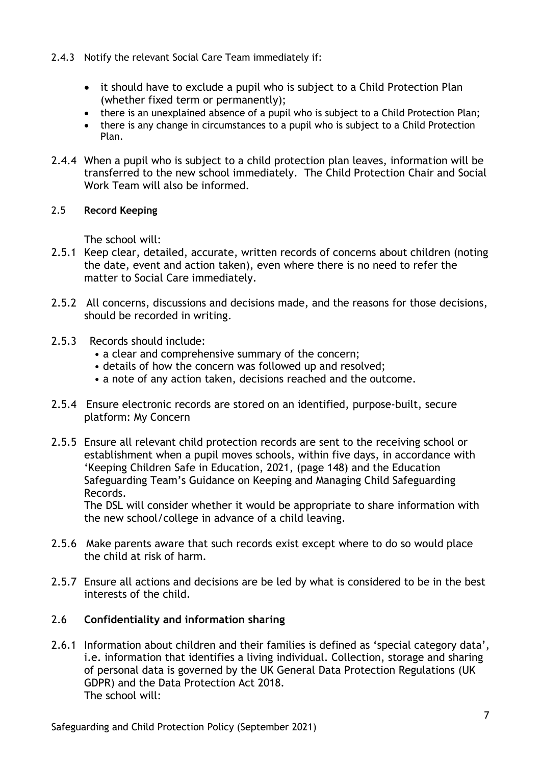- 2.4.3 Notify the relevant Social Care Team immediately if:
	- it should have to exclude a pupil who is subject to a Child Protection Plan (whether fixed term or permanently);
	- there is an unexplained absence of a pupil who is subject to a Child Protection Plan;
	- there is any change in circumstances to a pupil who is subject to a Child Protection Plan.
- 2.4.4 When a pupil who is subject to a child protection plan leaves, information will be transferred to the new school immediately. The Child Protection Chair and Social Work Team will also be informed.

#### 2.5 **Record Keeping**

The school will:

- 2.5.1 Keep clear, detailed, accurate, written records of concerns about children (noting the date, event and action taken), even where there is no need to refer the matter to Social Care immediately.
- 2.5.2 All concerns, discussions and decisions made, and the reasons for those decisions, should be recorded in writing.
- 2.5.3 Records should include:
	- a clear and comprehensive summary of the concern;
	- details of how the concern was followed up and resolved;
	- a note of any action taken, decisions reached and the outcome.
- 2.5.4 Ensure electronic records are stored on an identified, purpose-built, secure platform: My Concern
- 2.5.5 Ensure all relevant child protection records are sent to the receiving school or establishment when a pupil moves schools, within five days, in accordance with 'Keeping Children Safe in Education, 2021, (page 148) and the Education Safeguarding Team's Guidance on Keeping and Managing Child Safeguarding Records.

The DSL will consider whether it would be appropriate to share information with the new school/college in advance of a child leaving.

- 2.5.6 Make parents aware that such records exist except where to do so would place the child at risk of harm.
- 2.5.7 Ensure all actions and decisions are be led by what is considered to be in the best interests of the child.

#### 2.6 **Confidentiality and information sharing**

2.6.1 Information about children and their families is defined as 'special category data', i.e. information that identifies a living individual. Collection, storage and sharing of personal data is governed by the UK General Data Protection Regulations (UK GDPR) and the Data Protection Act 2018. The school will: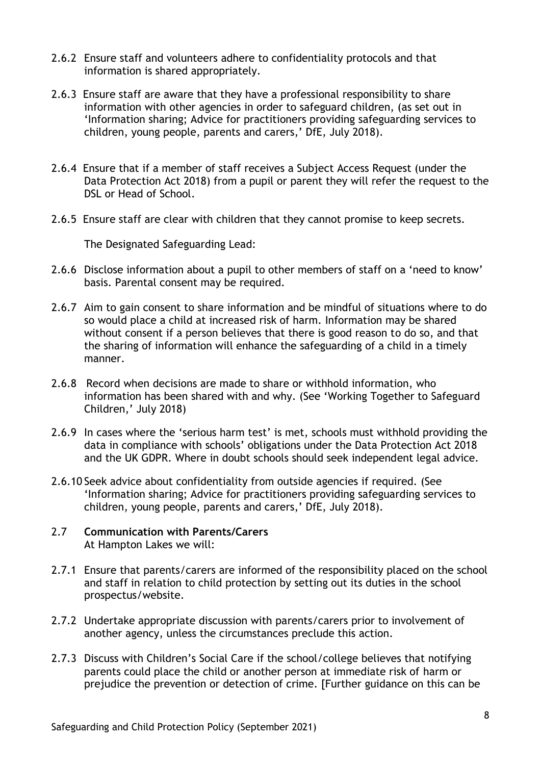- 2.6.2 Ensure staff and volunteers adhere to confidentiality protocols and that information is shared appropriately.
- 2.6.3 Ensure staff are aware that they have a professional responsibility to share information with other agencies in order to safeguard children, (as set out in 'Information sharing; Advice for practitioners providing safeguarding services to children, young people, parents and carers,' DfE, July 2018).
- 2.6.4 Ensure that if a member of staff receives a Subject Access Request (under the Data Protection Act 2018) from a pupil or parent they will refer the request to the DSL or Head of School.
- 2.6.5 Ensure staff are clear with children that they cannot promise to keep secrets.

The Designated Safeguarding Lead:

- 2.6.6 Disclose information about a pupil to other members of staff on a 'need to know' basis. Parental consent may be required.
- 2.6.7 Aim to gain consent to share information and be mindful of situations where to do so would place a child at increased risk of harm. Information may be shared without consent if a person believes that there is good reason to do so, and that the sharing of information will enhance the safeguarding of a child in a timely manner.
- 2.6.8 Record when decisions are made to share or withhold information, who information has been shared with and why. (See 'Working Together to Safeguard Children,' July 2018)
- 2.6.9 In cases where the 'serious harm test' is met, schools must withhold providing the data in compliance with schools' obligations under the Data Protection Act 2018 and the UK GDPR. Where in doubt schools should seek independent legal advice.
- 2.6.10 Seek advice about confidentiality from outside agencies if required. (See 'Information sharing; Advice for practitioners providing safeguarding services to children, young people, parents and carers,' DfE, July 2018).
- 2.7 **Communication with Parents/Carers** At Hampton Lakes we will:
- 2.7.1 Ensure that parents/carers are informed of the responsibility placed on the school and staff in relation to child protection by setting out its duties in the school prospectus/website.
- 2.7.2 Undertake appropriate discussion with parents/carers prior to involvement of another agency, unless the circumstances preclude this action.
- 2.7.3 Discuss with Children's Social Care if the school/college believes that notifying parents could place the child or another person at immediate risk of harm or prejudice the prevention or detection of crime. [Further guidance on this can be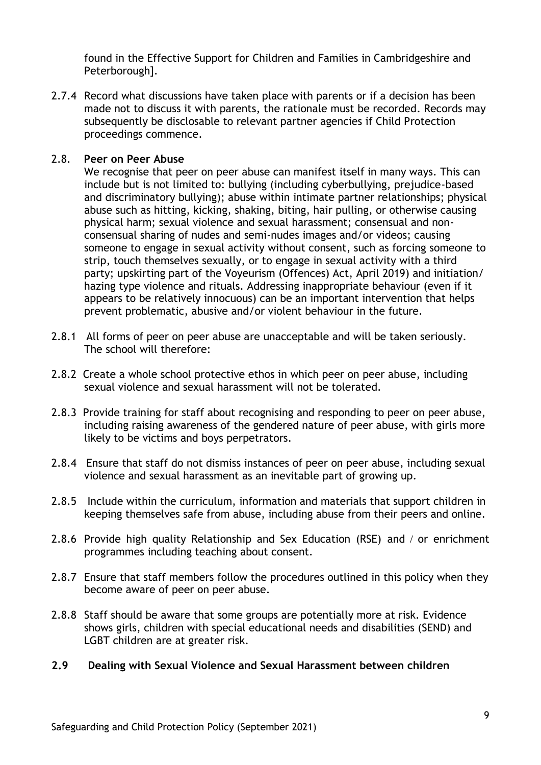found in the Effective Support for Children and Families in Cambridgeshire and Peterborough].

2.7.4 Record what discussions have taken place with parents or if a decision has been made not to discuss it with parents, the rationale must be recorded. Records may subsequently be disclosable to relevant partner agencies if Child Protection proceedings commence.

#### 2.8. **Peer on Peer Abuse**

We recognise that peer on peer abuse can manifest itself in many ways. This can include but is not limited to: bullying (including cyberbullying, prejudice-based and discriminatory bullying); abuse within intimate partner relationships; physical abuse such as hitting, kicking, shaking, biting, hair pulling, or otherwise causing physical harm; sexual violence and sexual harassment; consensual and nonconsensual sharing of nudes and semi-nudes images and/or videos; causing someone to engage in sexual activity without consent, such as forcing someone to strip, touch themselves sexually, or to engage in sexual activity with a third party; upskirting part of the Voyeurism (Offences) Act, April 2019) and initiation/ hazing type violence and rituals. Addressing inappropriate behaviour (even if it appears to be relatively innocuous) can be an important intervention that helps prevent problematic, abusive and/or violent behaviour in the future.

- 2.8.1 All forms of peer on peer abuse are unacceptable and will be taken seriously. The school will therefore:
- 2.8.2 Create a whole school protective ethos in which peer on peer abuse, including sexual violence and sexual harassment will not be tolerated.
- 2.8.3 Provide training for staff about recognising and responding to peer on peer abuse, including raising awareness of the gendered nature of peer abuse, with girls more likely to be victims and boys perpetrators.
- 2.8.4 Ensure that staff do not dismiss instances of peer on peer abuse, including sexual violence and sexual harassment as an inevitable part of growing up.
- 2.8.5 Include within the curriculum, information and materials that support children in keeping themselves safe from abuse, including abuse from their peers and online.
- 2.8.6 Provide high quality Relationship and Sex Education (RSE) and / or enrichment programmes including teaching about consent.
- 2.8.7 Ensure that staff members follow the procedures outlined in this policy when they become aware of peer on peer abuse.
- 2.8.8 Staff should be aware that some groups are potentially more at risk. Evidence shows girls, children with special educational needs and disabilities (SEND) and LGBT children are at greater risk.

#### **2.9 Dealing with Sexual Violence and Sexual Harassment between children**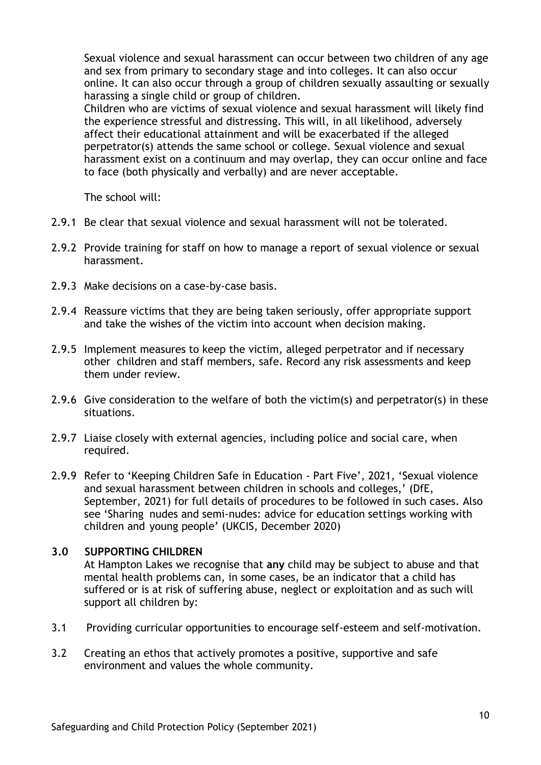Sexual violence and sexual harassment can occur between two children of any age and sex from primary to secondary stage and into colleges. It can also occur online. It can also occur through a group of children sexually assaulting or sexually harassing a single child or group of children.

Children who are victims of sexual violence and sexual harassment will likely find the experience stressful and distressing. This will, in all likelihood, adversely affect their educational attainment and will be exacerbated if the alleged perpetrator(s) attends the same school or college. Sexual violence and sexual harassment exist on a continuum and may overlap, they can occur online and face to face (both physically and verbally) and are never acceptable.

The school will:

- 2.9.1 Be clear that sexual violence and sexual harassment will not be tolerated.
- 2.9.2 Provide training for staff on how to manage a report of sexual violence or sexual harassment.
- 2.9.3 Make decisions on a case-by-case basis.
- 2.9.4 Reassure victims that they are being taken seriously, offer appropriate support and take the wishes of the victim into account when decision making.
- 2.9.5 Implement measures to keep the victim, alleged perpetrator and if necessary other children and staff members, safe. Record any risk assessments and keep them under review.
- 2.9.6 Give consideration to the welfare of both the victim(s) and perpetrator(s) in these situations.
- 2.9.7 Liaise closely with external agencies, including police and social care, when required.
- 2.9.9 Refer to 'Keeping Children Safe in Education Part Five', 2021, 'Sexual violence and sexual harassment between children in schools and colleges,' (DfE, September, 2021) for full details of procedures to be followed in such cases. Also see 'Sharing nudes and semi-nudes: advice for education settings working with children and young people' (UKCIS, December 2020)

#### **3.0 SUPPORTING CHILDREN**

At Hampton Lakes we recognise that **any** child may be subject to abuse and that mental health problems can, in some cases, be an indicator that a child has suffered or is at risk of suffering abuse, neglect or exploitation and as such will support all children by:

- 3.1 Providing curricular opportunities to encourage self-esteem and self-motivation.
- 3.2 Creating an ethos that actively promotes a positive, supportive and safe environment and values the whole community.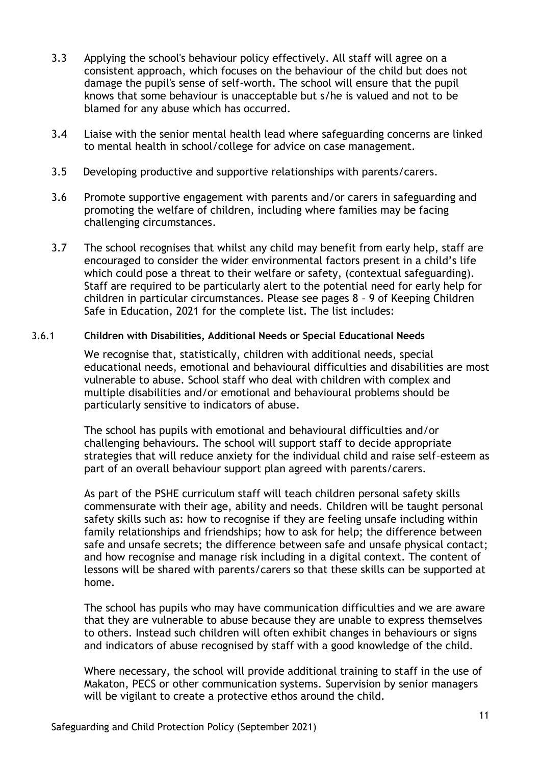- 3.3 Applying the school's behaviour policy effectively. All staff will agree on a consistent approach, which focuses on the behaviour of the child but does not damage the pupil's sense of self-worth. The school will ensure that the pupil knows that some behaviour is unacceptable but s/he is valued and not to be blamed for any abuse which has occurred.
- 3.4 Liaise with the senior mental health lead where safeguarding concerns are linked to mental health in school/college for advice on case management.
- 3.5 Developing productive and supportive relationships with parents/carers.
- 3.6 Promote supportive engagement with parents and/or carers in safeguarding and promoting the welfare of children, including where families may be facing challenging circumstances.
- 3.7 The school recognises that whilst any child may benefit from early help, staff are encouraged to consider the wider environmental factors present in a child's life which could pose a threat to their welfare or safety, (contextual safeguarding). Staff are required to be particularly alert to the potential need for early help for children in particular circumstances. Please see pages 8 – 9 of Keeping Children Safe in Education, 2021 for the complete list. The list includes:

#### 3.6.1 **Children with Disabilities, Additional Needs or Special Educational Needs**

We recognise that, statistically, children with additional needs, special educational needs, emotional and behavioural difficulties and disabilities are most vulnerable to abuse. School staff who deal with children with complex and multiple disabilities and/or emotional and behavioural problems should be particularly sensitive to indicators of abuse*.* 

The school has pupils with emotional and behavioural difficulties and/or challenging behaviours. The school will support staff to decide appropriate strategies that will reduce anxiety for the individual child and raise self–esteem as part of an overall behaviour support plan agreed with parents/carers.

As part of the PSHE curriculum staff will teach children personal safety skills commensurate with their age, ability and needs. Children will be taught personal safety skills such as: how to recognise if they are feeling unsafe including within family relationships and friendships; how to ask for help; the difference between safe and unsafe secrets; the difference between safe and unsafe physical contact; and how recognise and manage risk including in a digital context. The content of lessons will be shared with parents/carers so that these skills can be supported at home.

The school has pupils who may have communication difficulties and we are aware that they are vulnerable to abuse because they are unable to express themselves to others. Instead such children will often exhibit changes in behaviours or signs and indicators of abuse recognised by staff with a good knowledge of the child.

Where necessary, the school will provide additional training to staff in the use of Makaton, PECS or other communication systems. Supervision by senior managers will be vigilant to create a protective ethos around the child.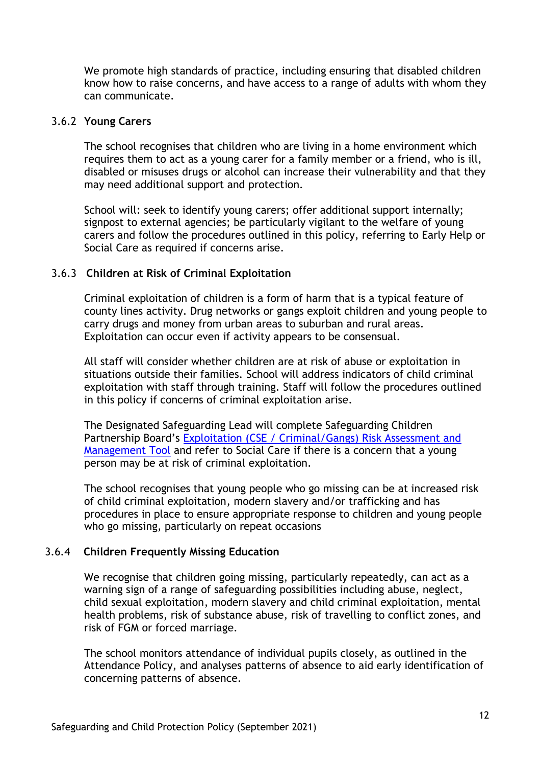We promote high standards of practice, including ensuring that disabled children know how to raise concerns, and have access to a range of adults with whom they can communicate.

#### 3.6.2 **Young Carers**

The school recognises that children who are living in a home environment which requires them to act as a young carer for a family member or a friend, who is ill, disabled or misuses drugs or alcohol can increase their vulnerability and that they may need additional support and protection.

School will: seek to identify young carers; offer additional support internally; signpost to external agencies; be particularly vigilant to the welfare of young carers and follow the procedures outlined in this policy, referring to Early Help or Social Care as required if concerns arise.

#### 3.6.3 **Children at Risk of Criminal Exploitation**

Criminal exploitation of children is a form of harm that is a typical feature of county lines activity. Drug networks or gangs exploit children and young people to carry drugs and money from urban areas to suburban and rural areas. Exploitation can occur even if activity appears to be consensual.

All staff will consider whether children are at risk of abuse or exploitation in situations outside their families. School will address indicators of child criminal exploitation with staff through training. Staff will follow the procedures outlined in this policy if concerns of criminal exploitation arise.

The Designated Safeguarding Lead will complete Safeguarding Children Partnership Board's [Exploitation \(CSE / Criminal/Gangs\) Risk Assessment and](http://www.safeguardingcambspeterborough.org.uk/wp-content/uploads/2018/05/Exploitation-CSECCE-Risk-Assessment-Tool.docx)  [Management Tool](http://www.safeguardingcambspeterborough.org.uk/wp-content/uploads/2018/05/Exploitation-CSECCE-Risk-Assessment-Tool.docx) and refer to Social Care if there is a concern that a young person may be at risk of criminal exploitation.

The school recognises that young people who go missing can be at increased risk of child criminal exploitation, modern slavery and/or trafficking and has procedures in place to ensure appropriate response to children and young people who go missing, particularly on repeat occasions

#### 3.6.4 **Children Frequently Missing Education**

We recognise that children going missing, particularly repeatedly, can act as a warning sign of a range of safeguarding possibilities including abuse, neglect, child sexual exploitation, modern slavery and child criminal exploitation, mental health problems, risk of substance abuse, risk of travelling to conflict zones, and risk of FGM or forced marriage.

The school monitors attendance of individual pupils closely, as outlined in the Attendance Policy, and analyses patterns of absence to aid early identification of concerning patterns of absence.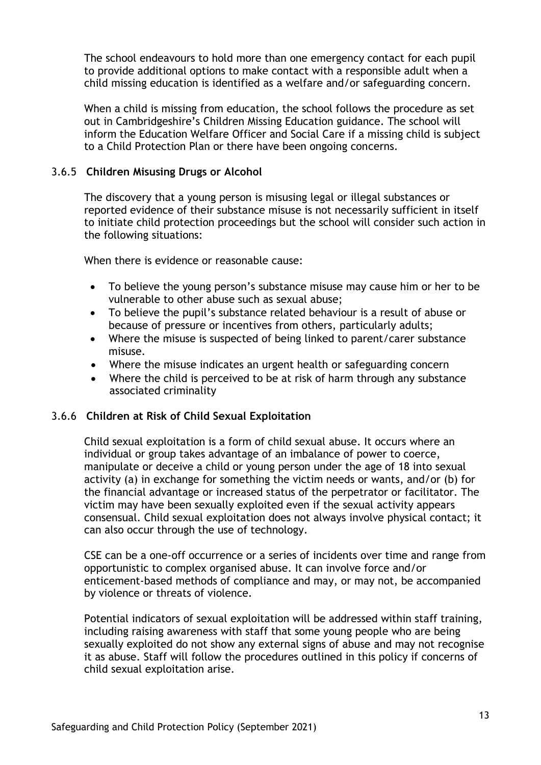The school endeavours to hold more than one emergency contact for each pupil to provide additional options to make contact with a responsible adult when a child missing education is identified as a welfare and/or safeguarding concern.

When a child is missing from education, the school follows the procedure as set out in Cambridgeshire's Children Missing Education guidance. The school will inform the Education Welfare Officer and Social Care if a missing child is subject to a Child Protection Plan or there have been ongoing concerns.

#### 3.6.5 **Children Misusing Drugs or Alcohol**

The discovery that a young person is misusing legal or illegal substances or reported evidence of their substance misuse is not necessarily sufficient in itself to initiate child protection proceedings but the school will consider such action in the following situations:

When there is evidence or reasonable cause:

- To believe the young person's substance misuse may cause him or her to be vulnerable to other abuse such as sexual abuse;
- To believe the pupil's substance related behaviour is a result of abuse or because of pressure or incentives from others, particularly adults;
- Where the misuse is suspected of being linked to parent/carer substance misuse.
- Where the misuse indicates an urgent health or safeguarding concern
- Where the child is perceived to be at risk of harm through any substance associated criminality

#### 3.6.6 **Children at Risk of Child Sexual Exploitation**

Child sexual exploitation is a form of child sexual abuse. It occurs where an individual or group takes advantage of an imbalance of power to coerce, manipulate or deceive a child or young person under the age of 18 into sexual activity (a) in exchange for something the victim needs or wants, and/or (b) for the financial advantage or increased status of the perpetrator or facilitator. The victim may have been sexually exploited even if the sexual activity appears consensual. Child sexual exploitation does not always involve physical contact; it can also occur through the use of technology.

CSE can be a one-off occurrence or a series of incidents over time and range from opportunistic to complex organised abuse. It can involve force and/or enticement-based methods of compliance and may, or may not, be accompanied by violence or threats of violence.

Potential indicators of sexual exploitation will be addressed within staff training, including raising awareness with staff that some young people who are being sexually exploited do not show any external signs of abuse and may not recognise it as abuse. Staff will follow the procedures outlined in this policy if concerns of child sexual exploitation arise.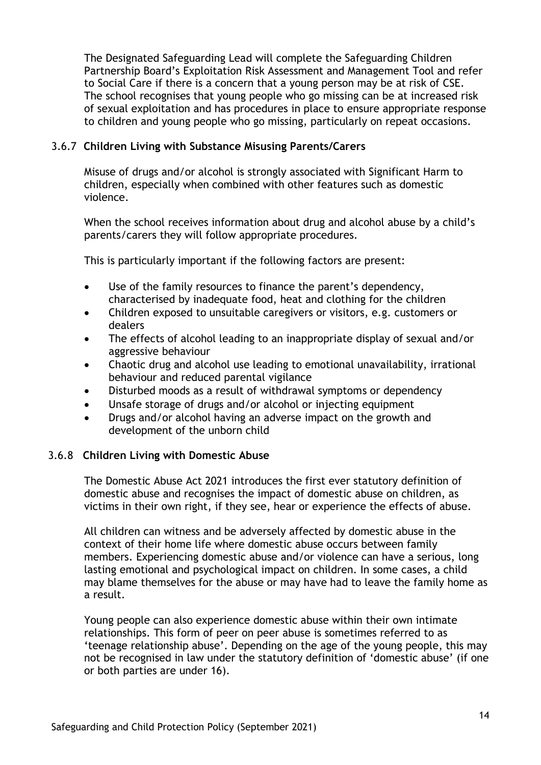The Designated Safeguarding Lead will complete the Safeguarding Children Partnership Board's Exploitation Risk Assessment and Management Tool and refer to Social Care if there is a concern that a young person may be at risk of CSE. The school recognises that young people who go missing can be at increased risk of sexual exploitation and has procedures in place to ensure appropriate response to children and young people who go missing, particularly on repeat occasions.

#### 3.6.7 **Children Living with Substance Misusing Parents/Carers**

Misuse of drugs and/or alcohol is strongly associated with Significant Harm to children, especially when combined with other features such as domestic violence.

When the school receives information about drug and alcohol abuse by a child's parents/carers they will follow appropriate procedures.

This is particularly important if the following factors are present:

- Use of the family resources to finance the parent's dependency, characterised by inadequate food, heat and clothing for the children
- Children exposed to unsuitable caregivers or visitors, e.g. customers or dealers
- The effects of alcohol leading to an inappropriate display of sexual and/or aggressive behaviour
- Chaotic drug and alcohol use leading to emotional unavailability, irrational behaviour and reduced parental vigilance
- Disturbed moods as a result of withdrawal symptoms or dependency
- Unsafe storage of drugs and/or alcohol or injecting equipment
- Drugs and/or alcohol having an adverse impact on the growth and development of the unborn child

#### 3.6.8 **Children Living with Domestic Abuse**

The Domestic Abuse Act 2021 introduces the first ever statutory definition of domestic abuse and recognises the impact of domestic abuse on children, as victims in their own right, if they see, hear or experience the effects of abuse.

All children can witness and be adversely affected by domestic abuse in the context of their home life where domestic abuse occurs between family members. Experiencing domestic abuse and/or violence can have a serious, long lasting emotional and psychological impact on children. In some cases, a child may blame themselves for the abuse or may have had to leave the family home as a result.

Young people can also experience domestic abuse within their own intimate relationships. This form of peer on peer abuse is sometimes referred to as 'teenage relationship abuse'. Depending on the age of the young people, this may not be recognised in law under the statutory definition of 'domestic abuse' (if one or both parties are under 16).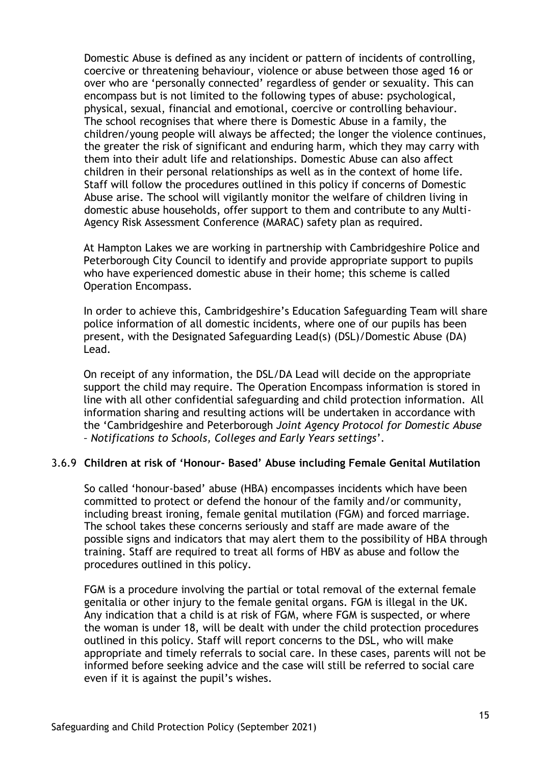Domestic Abuse is defined as any incident or pattern of incidents of controlling, coercive or threatening behaviour, violence or abuse between those aged 16 or over who are 'personally connected' regardless of gender or sexuality. This can encompass but is not limited to the following types of abuse: psychological, physical, sexual, financial and emotional, coercive or controlling behaviour. The school recognises that where there is Domestic Abuse in a family, the children/young people will always be affected; the longer the violence continues, the greater the risk of significant and enduring harm, which they may carry with them into their adult life and relationships. Domestic Abuse can also affect children in their personal relationships as well as in the context of home life. Staff will follow the procedures outlined in this policy if concerns of Domestic Abuse arise. The school will vigilantly monitor the welfare of children living in domestic abuse households, offer support to them and contribute to any Multi-Agency Risk Assessment Conference (MARAC) safety plan as required.

At Hampton Lakes we are working in partnership with Cambridgeshire Police and Peterborough City Council to identify and provide appropriate support to pupils who have experienced domestic abuse in their home; this scheme is called Operation Encompass.

In order to achieve this, Cambridgeshire's Education Safeguarding Team will share police information of all domestic incidents, where one of our pupils has been present, with the Designated Safeguarding Lead(s) (DSL)/Domestic Abuse (DA) Lead.

On receipt of any information, the DSL/DA Lead will decide on the appropriate support the child may require. The Operation Encompass information is stored in line with all other confidential safeguarding and child protection information. All information sharing and resulting actions will be undertaken in accordance with the 'Cambridgeshire and Peterborough *Joint Agency Protocol for Domestic Abuse – Notifications to Schools, Colleges and Early Years settings*'.

#### 3.6.9 **Children at risk of 'Honour- Based' Abuse including Female Genital Mutilation**

So called 'honour-based' abuse (HBA) encompasses incidents which have been committed to protect or defend the honour of the family and/or community, including breast ironing, female genital mutilation (FGM) and forced marriage. The school takes these concerns seriously and staff are made aware of the possible signs and indicators that may alert them to the possibility of HBA through training. Staff are required to treat all forms of HBV as abuse and follow the procedures outlined in this policy.

FGM is a procedure involving the partial or total removal of the external female genitalia or other injury to the female genital organs. FGM is illegal in the UK. Any indication that a child is at risk of FGM, where FGM is suspected, or where the woman is under 18, will be dealt with under the child protection procedures outlined in this policy. Staff will report concerns to the DSL, who will make appropriate and timely referrals to social care. In these cases, parents will not be informed before seeking advice and the case will still be referred to social care even if it is against the pupil's wishes.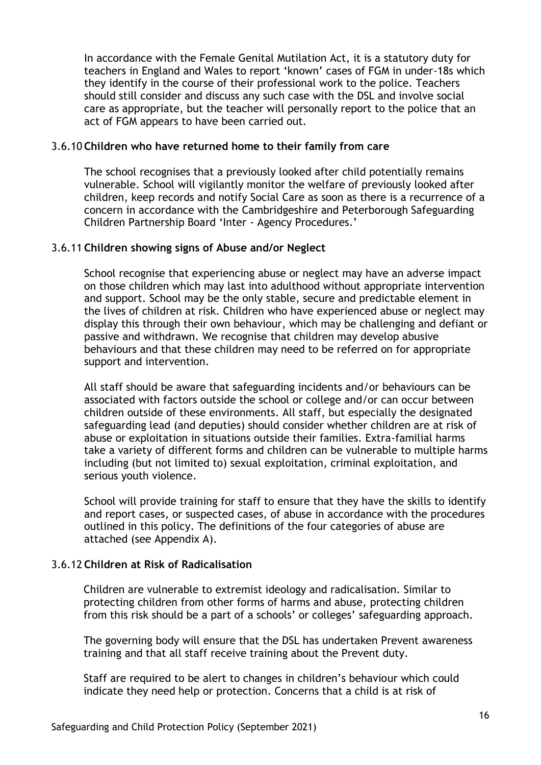In accordance with the Female Genital Mutilation Act, it is a statutory duty for teachers in England and Wales to report 'known' cases of FGM in under-18s which they identify in the course of their professional work to the police. Teachers should still consider and discuss any such case with the DSL and involve social care as appropriate, but the teacher will personally report to the police that an act of FGM appears to have been carried out.

#### 3.6.10 **Children who have returned home to their family from care**

The school recognises that a previously looked after child potentially remains vulnerable. School will vigilantly monitor the welfare of previously looked after children, keep records and notify Social Care as soon as there is a recurrence of a concern in accordance with the Cambridgeshire and Peterborough Safeguarding Children Partnership Board 'Inter - Agency Procedures.'

#### 3.6.11 **Children showing signs of Abuse and/or Neglect**

School recognise that experiencing abuse or neglect may have an adverse impact on those children which may last into adulthood without appropriate intervention and support. School may be the only stable, secure and predictable element in the lives of children at risk. Children who have experienced abuse or neglect may display this through their own behaviour, which may be challenging and defiant or passive and withdrawn. We recognise that children may develop abusive behaviours and that these children may need to be referred on for appropriate support and intervention.

All staff should be aware that safeguarding incidents and/or behaviours can be associated with factors outside the school or college and/or can occur between children outside of these environments. All staff, but especially the designated safeguarding lead (and deputies) should consider whether children are at risk of abuse or exploitation in situations outside their families. Extra-familial harms take a variety of different forms and children can be vulnerable to multiple harms including (but not limited to) sexual exploitation, criminal exploitation, and serious youth violence.

School will provide training for staff to ensure that they have the skills to identify and report cases, or suspected cases, of abuse in accordance with the procedures outlined in this policy. The definitions of the four categories of abuse are attached (see Appendix A).

#### 3.6.12 **Children at Risk of Radicalisation**

Children are vulnerable to extremist ideology and radicalisation. Similar to protecting children from other forms of harms and abuse, protecting children from this risk should be a part of a schools' or colleges' safeguarding approach.

The governing body will ensure that the DSL has undertaken Prevent awareness training and that all staff receive training about the Prevent duty.

Staff are required to be alert to changes in children's behaviour which could indicate they need help or protection. Concerns that a child is at risk of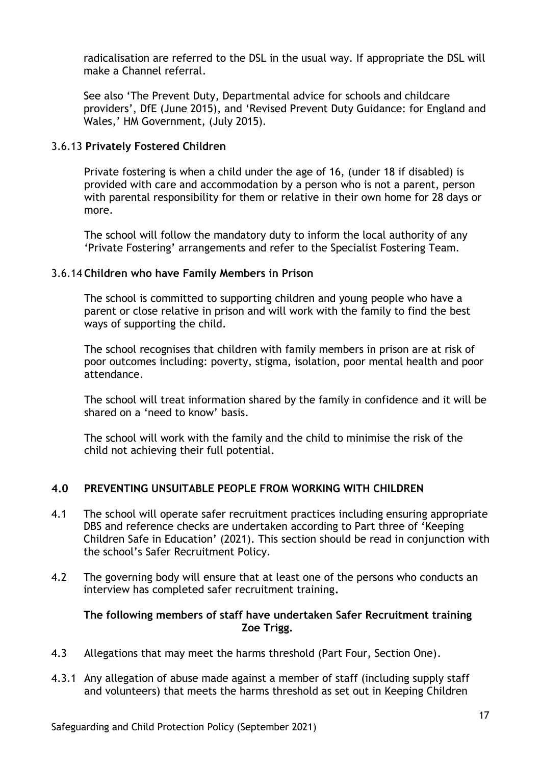radicalisation are referred to the DSL in the usual way. If appropriate the DSL will make a Channel referral.

See also 'The Prevent Duty, Departmental advice for schools and childcare providers', DfE (June 2015), and 'Revised Prevent Duty Guidance: for England and Wales,' HM Government, (July 2015).

#### 3.6.13 **Privately Fostered Children**

Private fostering is when a child under the age of 16, (under 18 if disabled) is provided with care and accommodation by a person who is not a parent, person with parental responsibility for them or relative in their own home for 28 days or more.

The school will follow the mandatory duty to inform the local authority of any 'Private Fostering' arrangements and refer to the Specialist Fostering Team.

#### 3.6.14 **Children who have Family Members in Prison**

The school is committed to supporting children and young people who have a parent or close relative in prison and will work with the family to find the best ways of supporting the child.

The school recognises that children with family members in prison are at risk of poor outcomes including: poverty, stigma, isolation, poor mental health and poor attendance.

The school will treat information shared by the family in confidence and it will be shared on a 'need to know' basis.

The school will work with the family and the child to minimise the risk of the child not achieving their full potential.

#### **4.0 PREVENTING UNSUITABLE PEOPLE FROM WORKING WITH CHILDREN**

- 4.1 The school will operate safer recruitment practices including ensuring appropriate DBS and reference checks are undertaken according to Part three of 'Keeping Children Safe in Education' (2021). This section should be read in conjunction with the school's Safer Recruitment Policy.
- 4.2 The governing body will ensure that at least one of the persons who conducts an interview has completed safer recruitment training**.**

#### **The following members of staff have undertaken Safer Recruitment training Zoe Trigg.**

- 4.3 Allegations that may meet the harms threshold (Part Four, Section One).
- 4.3.1 Any allegation of abuse made against a member of staff (including supply staff and volunteers) that meets the harms threshold as set out in Keeping Children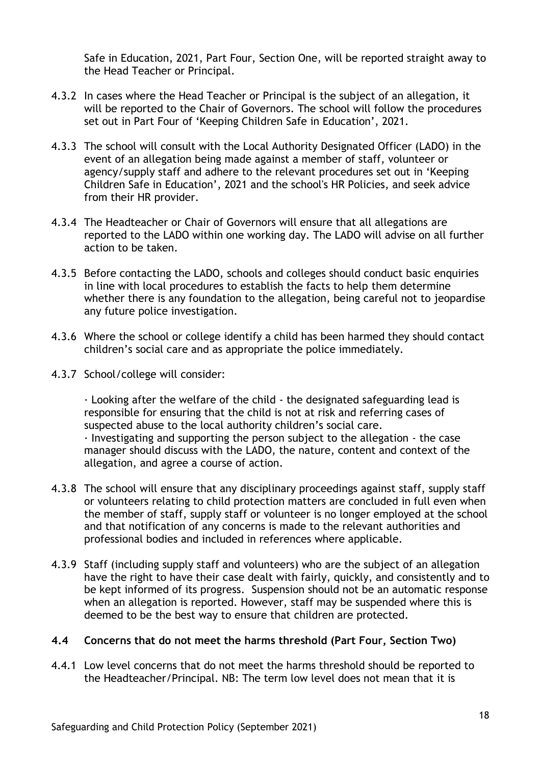Safe in Education, 2021, Part Four, Section One, will be reported straight away to the Head Teacher or Principal.

- 4.3.2 In cases where the Head Teacher or Principal is the subject of an allegation, it will be reported to the Chair of Governors. The school will follow the procedures set out in Part Four of 'Keeping Children Safe in Education', 2021.
- 4.3.3 The school will consult with the Local Authority Designated Officer (LADO) in the event of an allegation being made against a member of staff, volunteer or agency/supply staff and adhere to the relevant procedures set out in 'Keeping Children Safe in Education', 2021 and the school's HR Policies, and seek advice from their HR provider.
- 4.3.4 The Headteacher or Chair of Governors will ensure that all allegations are reported to the LADO within one working day. The LADO will advise on all further action to be taken.
- 4.3.5 Before contacting the LADO, schools and colleges should conduct basic enquiries in line with local procedures to establish the facts to help them determine whether there is any foundation to the allegation, being careful not to jeopardise any future police investigation.
- 4.3.6 Where the school or college identify a child has been harmed they should contact children's social care and as appropriate the police immediately.
- 4.3.7 School/college will consider:

· Looking after the welfare of the child - the designated safeguarding lead is responsible for ensuring that the child is not at risk and referring cases of suspected abuse to the local authority children's social care.

· Investigating and supporting the person subject to the allegation - the case manager should discuss with the LADO, the nature, content and context of the allegation, and agree a course of action.

- 4.3.8 The school will ensure that any disciplinary proceedings against staff, supply staff or volunteers relating to child protection matters are concluded in full even when the member of staff, supply staff or volunteer is no longer employed at the school and that notification of any concerns is made to the relevant authorities and professional bodies and included in references where applicable.
- 4.3.9 Staff (including supply staff and volunteers) who are the subject of an allegation have the right to have their case dealt with fairly, quickly, and consistently and to be kept informed of its progress. Suspension should not be an automatic response when an allegation is reported. However, staff may be suspended where this is deemed to be the best way to ensure that children are protected.

#### **4.4 Concerns that do not meet the harms threshold (Part Four, Section Two)**

4.4.1 Low level concerns that do not meet the harms threshold should be reported to the Headteacher/Principal. NB: The term low level does not mean that it is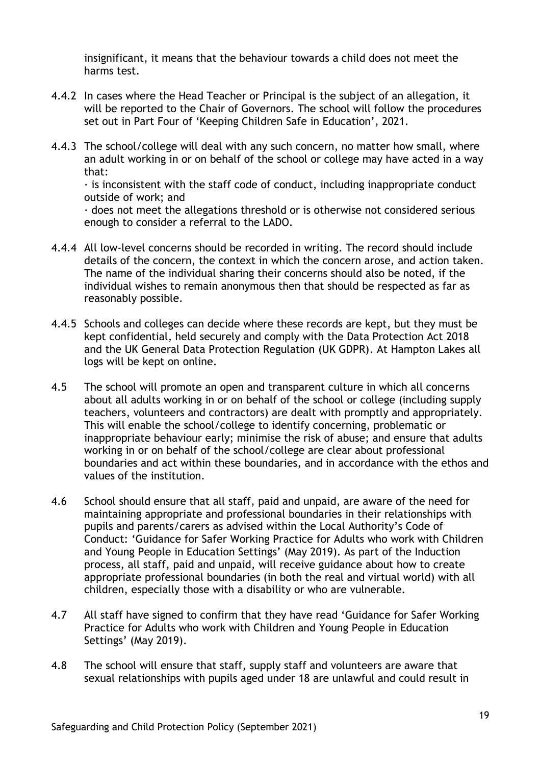insignificant, it means that the behaviour towards a child does not meet the harms test.

- 4.4.2 In cases where the Head Teacher or Principal is the subject of an allegation, it will be reported to the Chair of Governors. The school will follow the procedures set out in Part Four of 'Keeping Children Safe in Education', 2021.
- 4.4.3 The school/college will deal with any such concern, no matter how small, where an adult working in or on behalf of the school or college may have acted in a way that:

 $\cdot$  is inconsistent with the staff code of conduct, including inappropriate conduct outside of work; and

· does not meet the allegations threshold or is otherwise not considered serious enough to consider a referral to the LADO.

- 4.4.4 All low-level concerns should be recorded in writing. The record should include details of the concern, the context in which the concern arose, and action taken. The name of the individual sharing their concerns should also be noted, if the individual wishes to remain anonymous then that should be respected as far as reasonably possible.
- 4.4.5 Schools and colleges can decide where these records are kept, but they must be kept confidential, held securely and comply with the Data Protection Act 2018 and the UK General Data Protection Regulation (UK GDPR). At Hampton Lakes all logs will be kept on online.
- 4.5 The school will promote an open and transparent culture in which all concerns about all adults working in or on behalf of the school or college (including supply teachers, volunteers and contractors) are dealt with promptly and appropriately. This will enable the school/college to identify concerning, problematic or inappropriate behaviour early; minimise the risk of abuse; and ensure that adults working in or on behalf of the school/college are clear about professional boundaries and act within these boundaries, and in accordance with the ethos and values of the institution.
- 4.6 School should ensure that all staff, paid and unpaid, are aware of the need for maintaining appropriate and professional boundaries in their relationships with pupils and parents/carers as advised within the Local Authority's Code of Conduct: 'Guidance for Safer Working Practice for Adults who work with Children and Young People in Education Settings' (May 2019). As part of the Induction process, all staff, paid and unpaid, will receive guidance about how to create appropriate professional boundaries (in both the real and virtual world) with all children, especially those with a disability or who are vulnerable.
- 4.7 All staff have signed to confirm that they have read 'Guidance for Safer Working Practice for Adults who work with Children and Young People in Education Settings' (May 2019).
- 4.8 The school will ensure that staff, supply staff and volunteers are aware that sexual relationships with pupils aged under 18 are unlawful and could result in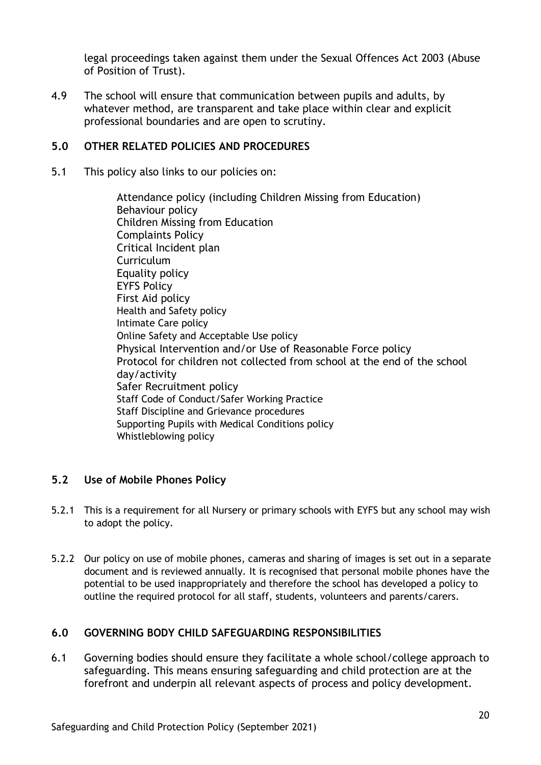legal proceedings taken against them under the Sexual Offences Act 2003 (Abuse of Position of Trust).

4.9 The school will ensure that communication between pupils and adults, by whatever method, are transparent and take place within clear and explicit professional boundaries and are open to scrutiny.

#### **5.0 OTHER RELATED POLICIES AND PROCEDURES**

5.1 This policy also links to our policies on:

Attendance policy (including Children Missing from Education) Behaviour policy Children Missing from Education Complaints Policy Critical Incident plan Curriculum Equality policy EYFS Policy First Aid policy Health and Safety policy Intimate Care policy Online Safety and Acceptable Use policy Physical Intervention and/or Use of Reasonable Force policy Protocol for children not collected from school at the end of the school day/activity Safer Recruitment policy Staff Code of Conduct/Safer Working Practice Staff Discipline and Grievance procedures Supporting Pupils with Medical Conditions policy Whistleblowing policy

#### **5.2 Use of Mobile Phones Policy**

- 5.2.1 This is a requirement for all Nursery or primary schools with EYFS but any school may wish to adopt the policy.
- 5.2.2 Our policy on use of mobile phones, cameras and sharing of images is set out in a separate document and is reviewed annually. It is recognised that personal mobile phones have the potential to be used inappropriately and therefore the school has developed a policy to outline the required protocol for all staff, students, volunteers and parents/carers.

#### **6.0 GOVERNING BODY CHILD SAFEGUARDING RESPONSIBILITIES**

6.1 Governing bodies should ensure they facilitate a whole school/college approach to safeguarding. This means ensuring safeguarding and child protection are at the forefront and underpin all relevant aspects of process and policy development.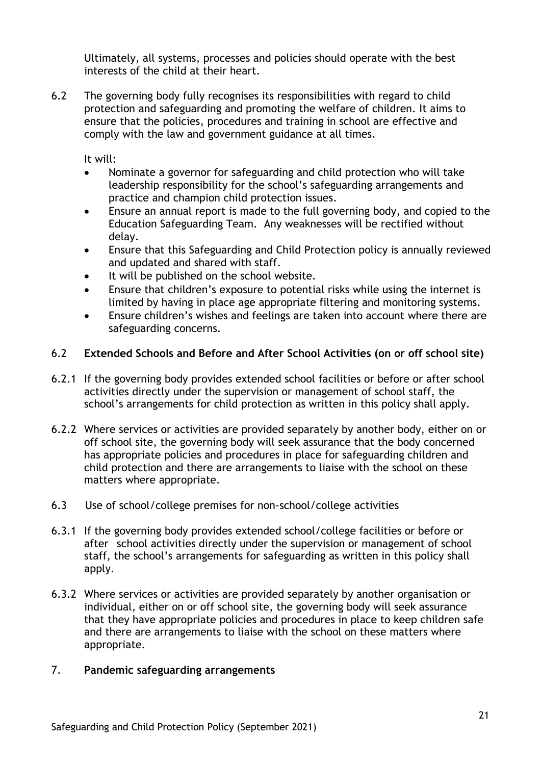Ultimately, all systems, processes and policies should operate with the best interests of the child at their heart.

6.2 The governing body fully recognises its responsibilities with regard to child protection and safeguarding and promoting the welfare of children. It aims to ensure that the policies, procedures and training in school are effective and comply with the law and government guidance at all times.

It will:

- Nominate a governor for safeguarding and child protection who will take leadership responsibility for the school's safeguarding arrangements and practice and champion child protection issues.
- Ensure an annual report is made to the full governing body, and copied to the Education Safeguarding Team. Any weaknesses will be rectified without delay.
- Ensure that this Safeguarding and Child Protection policy is annually reviewed and updated and shared with staff.
- It will be published on the school website.
- Ensure that children's exposure to potential risks while using the internet is limited by having in place age appropriate filtering and monitoring systems.
- Ensure children's wishes and feelings are taken into account where there are safeguarding concerns.

#### 6.2 **Extended Schools and Before and After School Activities (on or off school site)**

- 6.2.1 If the governing body provides extended school facilities or before or after school activities directly under the supervision or management of school staff, the school's arrangements for child protection as written in this policy shall apply.
- 6.2.2 Where services or activities are provided separately by another body, either on or off school site, the governing body will seek assurance that the body concerned has appropriate policies and procedures in place for safeguarding children and child protection and there are arrangements to liaise with the school on these matters where appropriate.
- 6.3 Use of school/college premises for non-school/college activities
- 6.3.1 If the governing body provides extended school/college facilities or before or after school activities directly under the supervision or management of school staff, the school's arrangements for safeguarding as written in this policy shall apply.
- 6.3.2 Where services or activities are provided separately by another organisation or individual, either on or off school site, the governing body will seek assurance that they have appropriate policies and procedures in place to keep children safe and there are arrangements to liaise with the school on these matters where appropriate.

#### 7. **Pandemic safeguarding arrangements**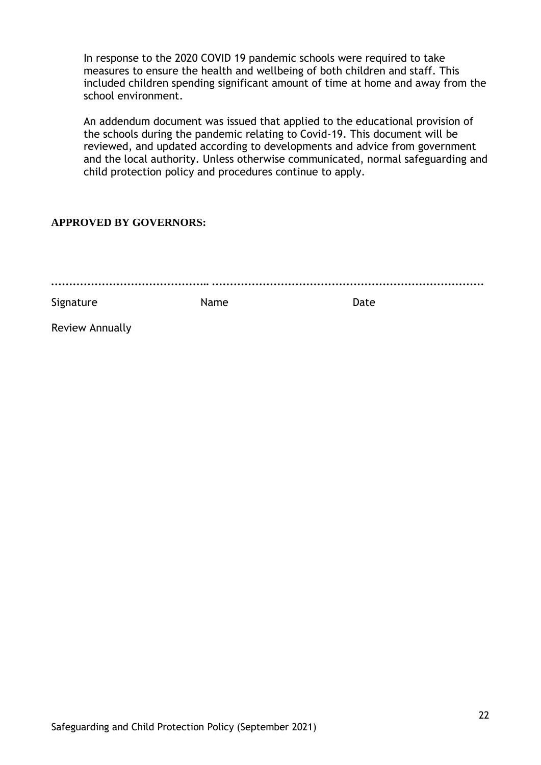In response to the 2020 COVID 19 pandemic schools were required to take measures to ensure the health and wellbeing of both children and staff. This included children spending significant amount of time at home and away from the school environment.

An addendum document was issued that applied to the educational provision of the schools during the pandemic relating to Covid-19. This document will be reviewed, and updated according to developments and advice from government and the local authority. Unless otherwise communicated, normal safeguarding and child protection policy and procedures continue to apply.

#### **APPROVED BY GOVERNORS:**

| Signature | Name | Date |
|-----------|------|------|

Review Annually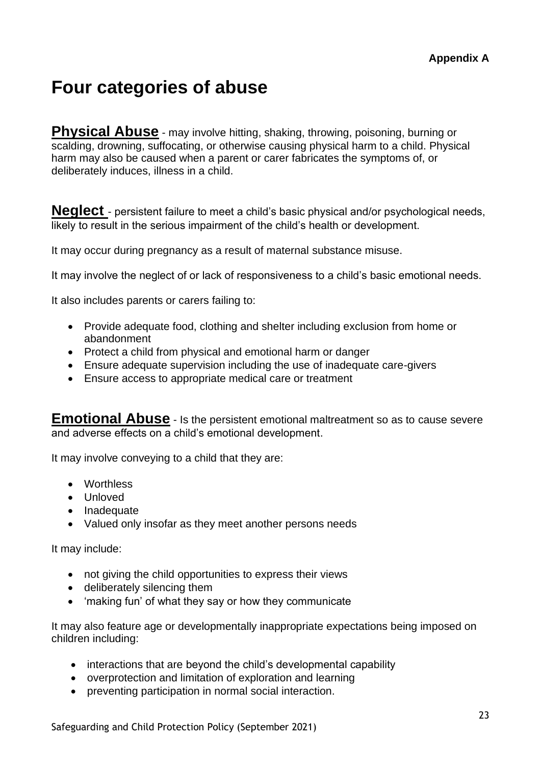# **Four categories of abuse**

**Physical Abuse** - may involve hitting, shaking, throwing, poisoning, burning or scalding, drowning, suffocating, or otherwise causing physical harm to a child. Physical harm may also be caused when a parent or carer fabricates the symptoms of, or deliberately induces, illness in a child.

**Neglect** - persistent failure to meet a child's basic physical and/or psychological needs, likely to result in the serious impairment of the child's health or development.

It may occur during pregnancy as a result of maternal substance misuse.

It may involve the neglect of or lack of responsiveness to a child's basic emotional needs.

It also includes parents or carers failing to:

- Provide adequate food, clothing and shelter including exclusion from home or abandonment
- Protect a child from physical and emotional harm or danger
- Ensure adequate supervision including the use of inadequate care-givers
- Ensure access to appropriate medical care or treatment

**Emotional Abuse** - Is the persistent emotional maltreatment so as to cause severe and adverse effects on a child's emotional development.

It may involve conveying to a child that they are:

- Worthless
- Unloved
- Inadequate
- Valued only insofar as they meet another persons needs

It may include:

- not giving the child opportunities to express their views
- deliberately silencing them
- 'making fun' of what they say or how they communicate

It may also feature age or developmentally inappropriate expectations being imposed on children including:

- interactions that are beyond the child's developmental capability
- overprotection and limitation of exploration and learning
- preventing participation in normal social interaction.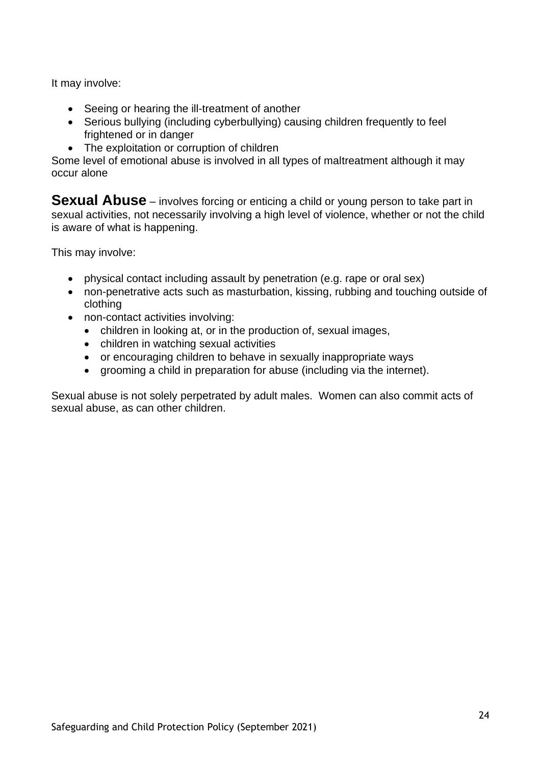It may involve:

- Seeing or hearing the ill-treatment of another
- Serious bullying (including cyberbullying) causing children frequently to feel frightened or in danger
- The exploitation or corruption of children

Some level of emotional abuse is involved in all types of maltreatment although it may occur alone

**Sexual Abuse** – involves forcing or enticing a child or young person to take part in sexual activities, not necessarily involving a high level of violence, whether or not the child is aware of what is happening.

This may involve:

- physical contact including assault by penetration (e.g. rape or oral sex)
- non-penetrative acts such as masturbation, kissing, rubbing and touching outside of clothing
- non-contact activities involving:
	- children in looking at, or in the production of, sexual images,
	- children in watching sexual activities
	- or encouraging children to behave in sexually inappropriate ways
	- grooming a child in preparation for abuse (including via the internet).

Sexual abuse is not solely perpetrated by adult males. Women can also commit acts of sexual abuse, as can other children.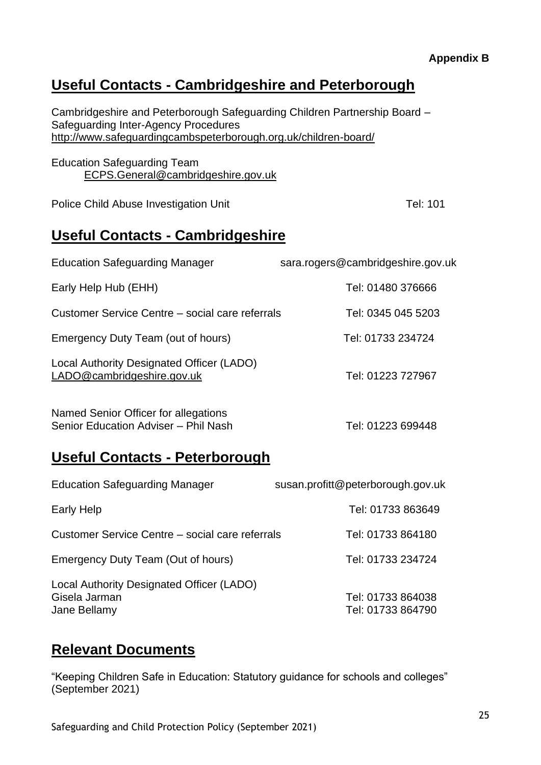#### **Appendix B**

## **Useful Contacts - Cambridgeshire and Peterborough**

Cambridgeshire and Peterborough Safeguarding Children Partnership Board – Safeguarding Inter-Agency Procedures <http://www.safeguardingcambspeterborough.org.uk/children-board/>

Education Safeguarding Team [ECPS.General@cambridgeshire.gov.uk](mailto:ECPSGeneral@cambridgeshire.gov.uk)

Police Child Abuse Investigation Unit Tel: 101

## **Useful Contacts - Cambridgeshire**

| <b>Education Safeguarding Manager</b>                                   | sara.rogers@cambridgeshire.gov.uk |
|-------------------------------------------------------------------------|-----------------------------------|
| Early Help Hub (EHH)                                                    | Tel: 01480 376666                 |
| Customer Service Centre – social care referrals                         | Tel: 0345 045 5203                |
| Emergency Duty Team (out of hours)                                      | Tel: 01733 234724                 |
| Local Authority Designated Officer (LADO)<br>LADO@cambridgeshire.gov.uk | Tel: 01223 727967                 |
| Named Senior Officer for allegations                                    |                                   |

Senior Education Adviser – Phil Nash Tel: 01223 699448

# **Useful Contacts - Peterborough**

| <b>Education Safeguarding Manager</b>                                      | susan.profitt@peterborough.gov.uk      |
|----------------------------------------------------------------------------|----------------------------------------|
| Early Help                                                                 | Tel: 01733 863649                      |
| Customer Service Centre – social care referrals                            | Tel: 01733 864180                      |
| Emergency Duty Team (Out of hours)                                         | Tel: 01733 234724                      |
| Local Authority Designated Officer (LADO)<br>Gisela Jarman<br>Jane Bellamy | Tel: 01733 864038<br>Tel: 01733 864790 |

### **Relevant Documents**

"Keeping Children Safe in Education: Statutory guidance for schools and colleges" (September 2021)